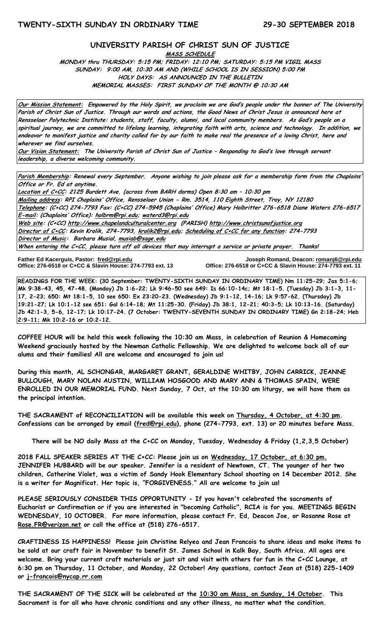## **UNIVERSITY PARISH OF CHRIST SUN OF JUSTICE**

**MASS SCHEDULE MONDAY thru THURSDAY: 5:15 PM; FRIDAY: 12:10 PM; SATURDAY: 5:15 PM VIGIL MASS SUNDAY: 9:00 AM, 10:30 AM AND (WHILE SCHOOL IS IN SESSION) 5:00 PM HOLY DAYS: AS ANNOUNCED IN THE BULLETIN MEMORIAL MASSES: FIRST SUNDAY OF THE MONTH @ 10:30 AM**

**Our Mission Statement: Empowered by the Holy Spirit, we proclaim we are God's people under the banner of The University Parish of Christ Sun of Justice. Through our words and actions, the Good News of Christ Jesus is announced here at Rensselaer Polytechnic Institute: students, staff, faculty, alumni, and local community members. As God's people on a spiritual journey, we are committed to lifelong learning, integrating faith with arts, science and technology. In addition, we endeavor to manifest justice and charity called for by our faith to make real the presence of a loving Christ, here and wherever we find ourselves.**

**Our Vision Statement: The University Parish of Christ Sun of Justice – Responding to God's love through servant leadership, a diverse welcoming community.**

**Parish Membership: Renewal every September. Anyone wishing to join please ask for a membership form from the Chaplains' Office or Fr. Ed at anytime.**

**Location of C+CC: 2125 Burdett Ave. (across from BARH dorms) Open 8:30 am – 10:30 pm Mailing address: RPI Chaplains' Office, Rensselaer Union - Rm. 3514, 110 Eighth Street, Troy, NY 12180 Telephone: (C+CC) 274-7793 Fax: (C+CC) 274-5945 (Chaplains' Office) Mary Holbritter 276-6518 Diane Waters 276-6517 E-mail: (Chaplains' Office): [holbrm@rpi.edu;](mailto:holbrm@rpi.edu) waterd3@rpi.edu Web site: (C+CC[\) http://www.chapelandculturalcenter.org](http://www.chapelandculturalcenter.org/) (PARISH) http://www.christsunofjustice.org Director of C+CC: Kevin Krolik, 274-7793, krolik2@rpi.edu; Scheduling of C+CC for any function: 274-7793 Director of Music: Barbara Musial, [musiab@sage.edu](mailto:musiab@sage.edu) When entering the C+CC, please turn off all devices that may interrupt a service or private prayer. Thanks!** 

Father Ed Kacerguis, Pastor: fred@rpi.edu **Father Ed Kacerguis, Pastor: [fred@rpi.edu](mailto:fred@rpi.edu) Joseph Romand, Deacon[: romanj6@rpi.edu](mailto:romanj6@rpi.edu)**

**Office: 276-6518 or C+CC & Slavin House: 274-7793 ext. 11** 

**READINGS FOR THE WEEK: (30 September: TWENTY-SIXTH SUNDAY IN ORDINARY TIME) Nm 11:25-29; Jas 5:1-6; Mk 9:38-43, 45, 47-48. (Monday) Jb 1:6-22; Lk 9:46-50 see 649: Is 66:10-14c; Mt 18:1-5. (Tuesday) Jb 3:1-3, 11- 17, 2-23; 650: Mt 18:1-5, 10 see 650: Ex 23:20-23. (Wednesday) Jb 9:1-12, 14-16; Lk 9:57-62. (Thursday) Jb 19:21-27; Lk 10:1-12 see 651: Gal 6:14-18; Mt 11:25-30. (Friday) Jb 38:1, 12-21; 40:3-5; Lk 10:13-16. (Saturday) Jb 42:1-3, 5-6, 12-17; Lk 10:17-24. (7 October: TWENTY-SEVENTH SUNDAY IN ORDINARY TIME) Gn 2:18-24; Heb 2:9-11; Mk 10:2-16 or 10:2-12.**

**COFFEE HOUR will be held this week following the 10:30 am Mass, in celebration of Reunion & Homecoming Weekend graciously hosted by the Newman Catholic Fellowship. We are delighted to welcome back all of our alums and their families! All are welcome and encouraged to join us!**

**During this month, AL SCHONGAR, MARGARET GRANT, GERALDINE WHITBY, JOHN CARRICK, JEANNE BULLOUGH, MARY NOLAN AUSTIN, WILLIAM HOSGOOD AND MARY ANN & THOMAS SPAIN, WERE ENROLLED IN OUR MEMORIAL FUND. Next Sunday, 7 Oct, at the 10:30 am liturgy, we will have them as the principal intention.**

**THE SACRAMENT of RECONCILIATION will be available this week on Thursday, 4 October, at 4:30 pm. Confessions can be arranged by email [\(fred@rpi.edu\)](mailto:fred@rpi.edu), phone (274-7793, ext. 13) or 20 minutes before Mass.**

**There will be NO daily Mass at the C+CC on Monday, Tuesday, Wednesday & Friday (1,2,3,5 October)**

**2018 FALL SPEAKER SERIES AT THE C+CC: Please join us on Wednesday, 17 October, at 6:30 pm. JENNIFER HUBBARD will be our speaker. Jennifer is a resident of Newtown, CT. The younger of her two children, Catherine Violet, was a victim of Sandy Hook Elementary School shooting on 14 December 2012. She is a writer for Magnificat. Her topic is, "FORGIVENESS." All are welcome to join us!** 

**PLEASE SERIOUSLY CONSIDER THIS OPPORTUNITY - If you haven't celebrated the sacraments of Eucharist or Confirmation or if you are interested in "becoming Catholic", RCIA is for you. MEETINGS BEGIN WEDNESDAY, 10 OCTOBER. For more information, please contact Fr. Ed, Deacon Joe, or Rosanne Rose at [Rose.FR@verizon.net](mailto:Rose.FR@verizon.net) or call the office at (518) 276-6517.**

**CRAFTINESS IS HAPPINESS! Please join Christine Relyea and Jean Francois to share ideas and make items to be sold at our craft fair in November to benefit St. James School in Kalk Bay, South Africa. All ages are welcome. Bring your current craft materials or just sit and visit with others for fun in the C+CC Lounge, at 6:30 pm on Thursday, 11 October, and Monday, 22 October! Any questions, contact Jean at (518) 225-1409 or [j-francois@nycap.rr.com](mailto:j-francois@nycap.rr.com)**

**THE SACRAMENT OF THE SICK will be celebrated at the 10:30 am Mass, on Sunday, 14 October. This Sacrament is for all who have chronic conditions and any other illness, no matter what the condition.**